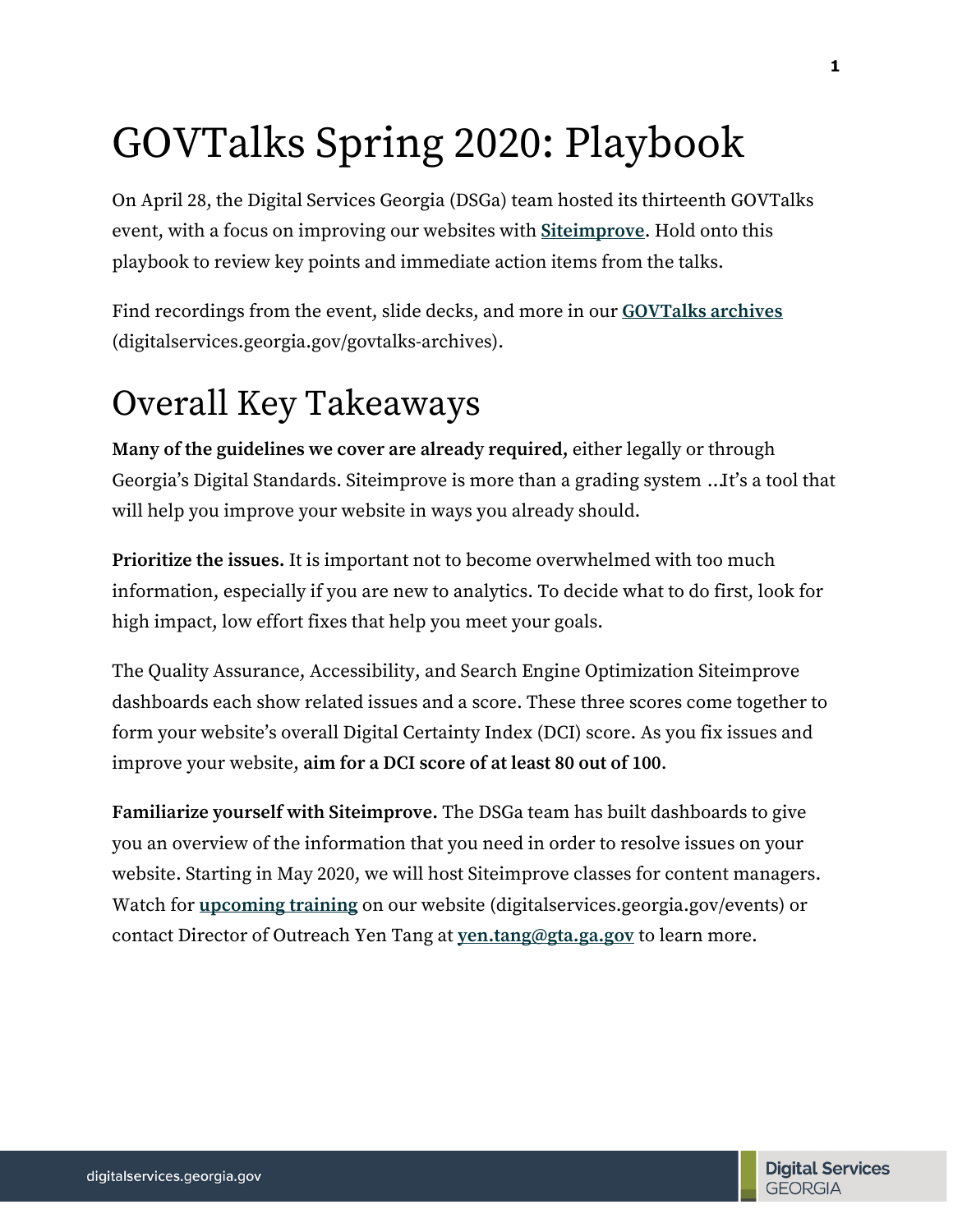# GOVTalks Spring 2020: Playbook

On April 28, the Digital Services Georgia (DSGa) team hosted its thirteenth GOVTalks event, with a focus on improving our websites with **[Siteimprove](https://siteimprove.com/)**. Hold onto this playbook to review key points and immediate action items from the talks.

Find recordings from the event, slide decks, and more in our **[GOVTalks archives](https://digitalservices.georgia.gov/govtalks/govtalks-archives)** (digitalservices.georgia.gov/govtalks-archives).

# Overall Key Takeaways

**Many of the guidelines we cover are already required,** either legally or through Georgia's Digital Standards. Siteimprove is more than a grading system … It's a tool that will help you improve your website in ways you already should.

**Prioritize the issues.** It is important not to become overwhelmed with too much information, especially if you are new to analytics. To decide what to do first, look for high impact, low effort fixes that help you meet your goals.

The Quality Assurance, Accessibility, and Search Engine Optimization Siteimprove dashboards each show related issues and a score. These three scores come together to form your website's overall Digital Certainty Index (DCI) score. As you fix issues and improve your website, **aim for a DCI score of at least 80 out of 100**.

**Familiarize yourself with Siteimprove.** The DSGa team has built dashboards to give you an overview of the information that you need in order to resolve issues on your website. Starting in May 2020, we will host Siteimprove classes for content managers. Watch for **[upcoming training](https://digitalservices.georgia.gov/events)** on our website (digitalservices.georgia.gov/events) or contact Director of Outreach Yen Tang at **[yen.tang@gta.ga.gov](mailto:yen.tang@gta.ga.gov)** to learn more.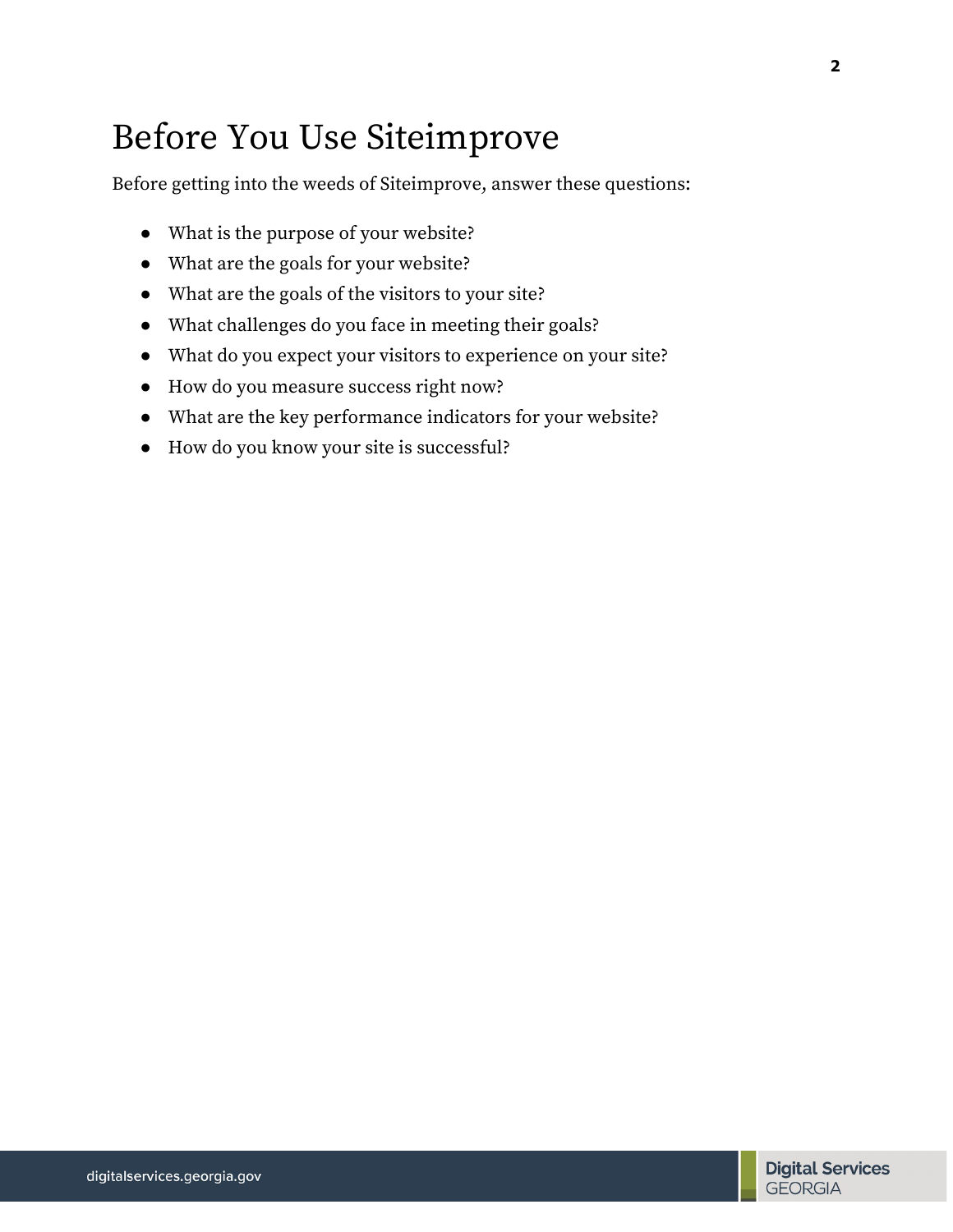# Before You Use Siteimprove

Before getting into the weeds of Siteimprove, answer these questions:

- What is the purpose of your website?
- What are the goals for your website?
- What are the goals of the visitors to your site?
- What challenges do you face in meeting their goals?
- What do you expect your visitors to experience on your site?
- How do you measure success right now?
- What are the key performance indicators for your website?
- How do you know your site is successful?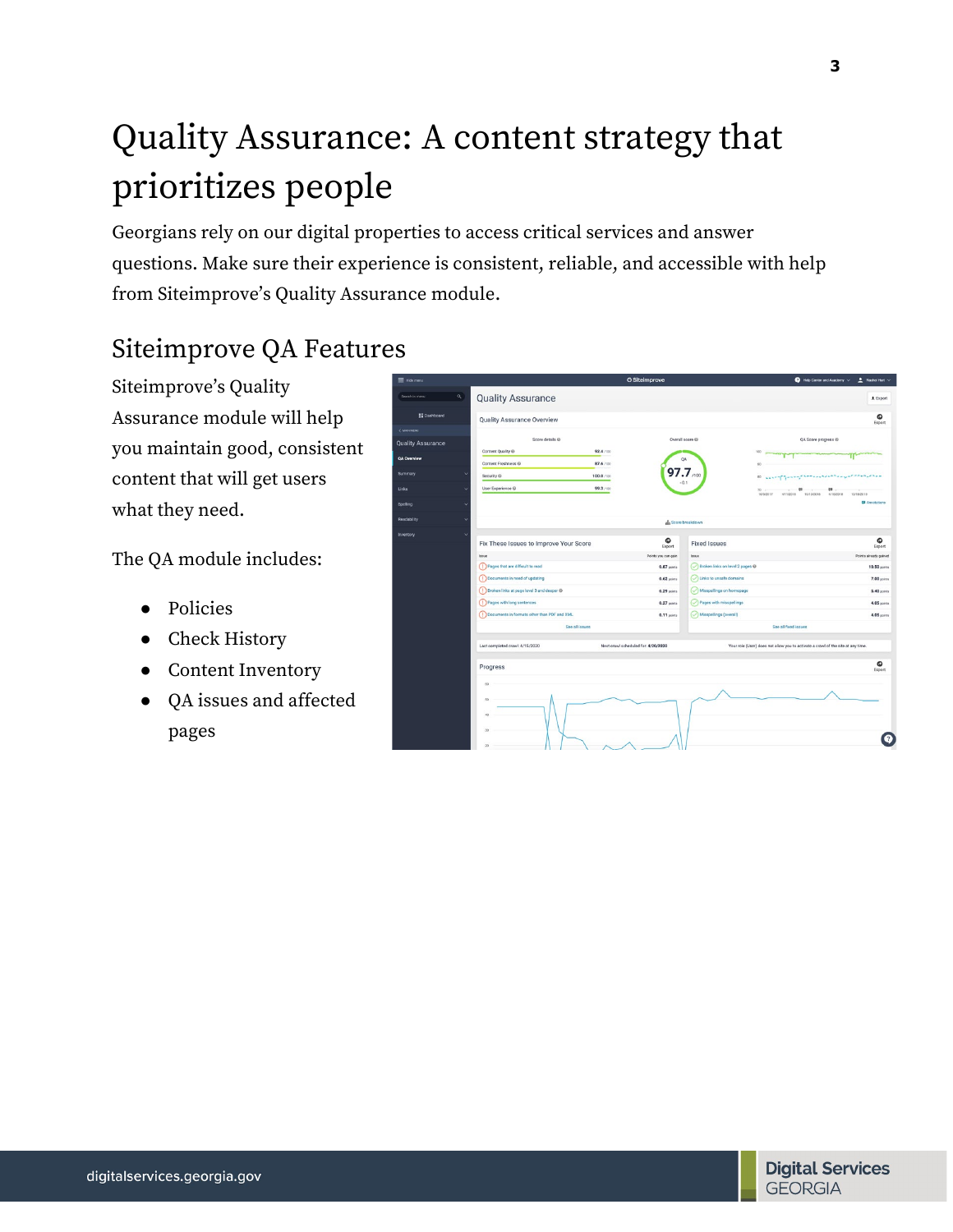# Quality Assurance: A content strategy that prioritizes people

Georgians rely on our digital properties to access critical services and answer questions. Make sure their experience is consistent, reliable, and accessible with help from Siteimprove's Quality Assurance module.

## Siteimprove QA Features

Siteimprove's Quality Assurance module will help you maintain good, consistent content that will get users what they need.

The QA module includes:

- Policies
- Check History
- Content Inventory
- QA issues and affected pages

| Hide menu                |                                                                       |                                     | <b>G</b> Siteimprove            |                                                                                  | $\bullet$ Help Center and Academy $\smile$<br>Rachel Hart ~ |
|--------------------------|-----------------------------------------------------------------------|-------------------------------------|---------------------------------|----------------------------------------------------------------------------------|-------------------------------------------------------------|
| $\alpha$<br>irch in menu | <b>Quality Assurance</b>                                              |                                     |                                 |                                                                                  | $E$ Export                                                  |
| <b>E Dashboard</b>       | <b>Quality Assurance Overview</b>                                     |                                     |                                 |                                                                                  | ۰<br>Export                                                 |
| <b>IN MENU</b>           |                                                                       |                                     |                                 |                                                                                  |                                                             |
| lity Assurance           | Score details @                                                       |                                     | Overall score @                 |                                                                                  | QA Score progress @                                         |
| <b>Prerview</b>          | Content Quality ®                                                     | 92.4 /100                           | QA                              | 100                                                                              |                                                             |
|                          | Content Freshness @                                                   | 87.6 /100                           |                                 | $^{30}$                                                                          |                                                             |
| mary.                    | Security @                                                            | 100.0 /100                          | $97.7$ <sub>noo</sub><br>$-0.1$ | <b>CONTRACTOR</b><br>80 <sub>1</sub>                                             |                                                             |
|                          | User Experience @<br>v                                                | 99.3 /100                           |                                 | $70$ $($<br>10/5/2017                                                            | m.<br>63<br>4/11/2018 10/13/2018 4/16/2019<br>10/18/2019    |
| ling                     |                                                                       |                                     |                                 |                                                                                  | <b>D</b> Annotations                                        |
| <b>Sabiity</b>           |                                                                       |                                     | th Score breakdown              |                                                                                  |                                                             |
| story.                   | $\ddot{\phantom{1}}$                                                  |                                     | ۰                               |                                                                                  | ۵                                                           |
|                          | Fix These Issues to Improve Your Score                                |                                     | Export                          | <b>Fixed Issues</b>                                                              | Export                                                      |
|                          | Issue                                                                 |                                     | Points you can gain<br>Issue    |                                                                                  | Points already gained                                       |
|                          | (!) Pages that are difficult to read<br>Documents in need of updating |                                     | 0.87 points                     | Broken links on level 2 pages @                                                  | <b>10.50 points</b>                                         |
|                          | (!) Broken links at page level 3 and deeper @                         |                                     | 0.62 points                     | (V) Links to unsafe domains<br>Misspellings on homepage                          | 7.00 points                                                 |
|                          | (1) Pages with long sentences                                         |                                     | $0.29$ points                   |                                                                                  | 5.40 points                                                 |
|                          |                                                                       |                                     | $0.27$ points                   | Pages with misspellings                                                          | 4.05 points                                                 |
|                          | Documents in formats other than PDF and XML                           |                                     | $0.11$ points                   | (V) Misspellings (overall)                                                       | 4.05 points                                                 |
|                          |                                                                       | See all issues                      |                                 | See all fored issues                                                             |                                                             |
|                          | Last completed crawl: 4/15/2020                                       | Next crawl scheduled for: 4/20/2020 |                                 | Your role (User) does not allow you to activate a crawl of the site at any time. |                                                             |
|                          | Progress                                                              |                                     |                                 |                                                                                  | ۰<br>Export                                                 |
|                          | 60                                                                    |                                     |                                 |                                                                                  |                                                             |
|                          | $^{12}$                                                               |                                     |                                 |                                                                                  |                                                             |
|                          | 40                                                                    |                                     |                                 |                                                                                  |                                                             |
|                          | $\infty$                                                              |                                     |                                 |                                                                                  |                                                             |
|                          |                                                                       |                                     |                                 |                                                                                  |                                                             |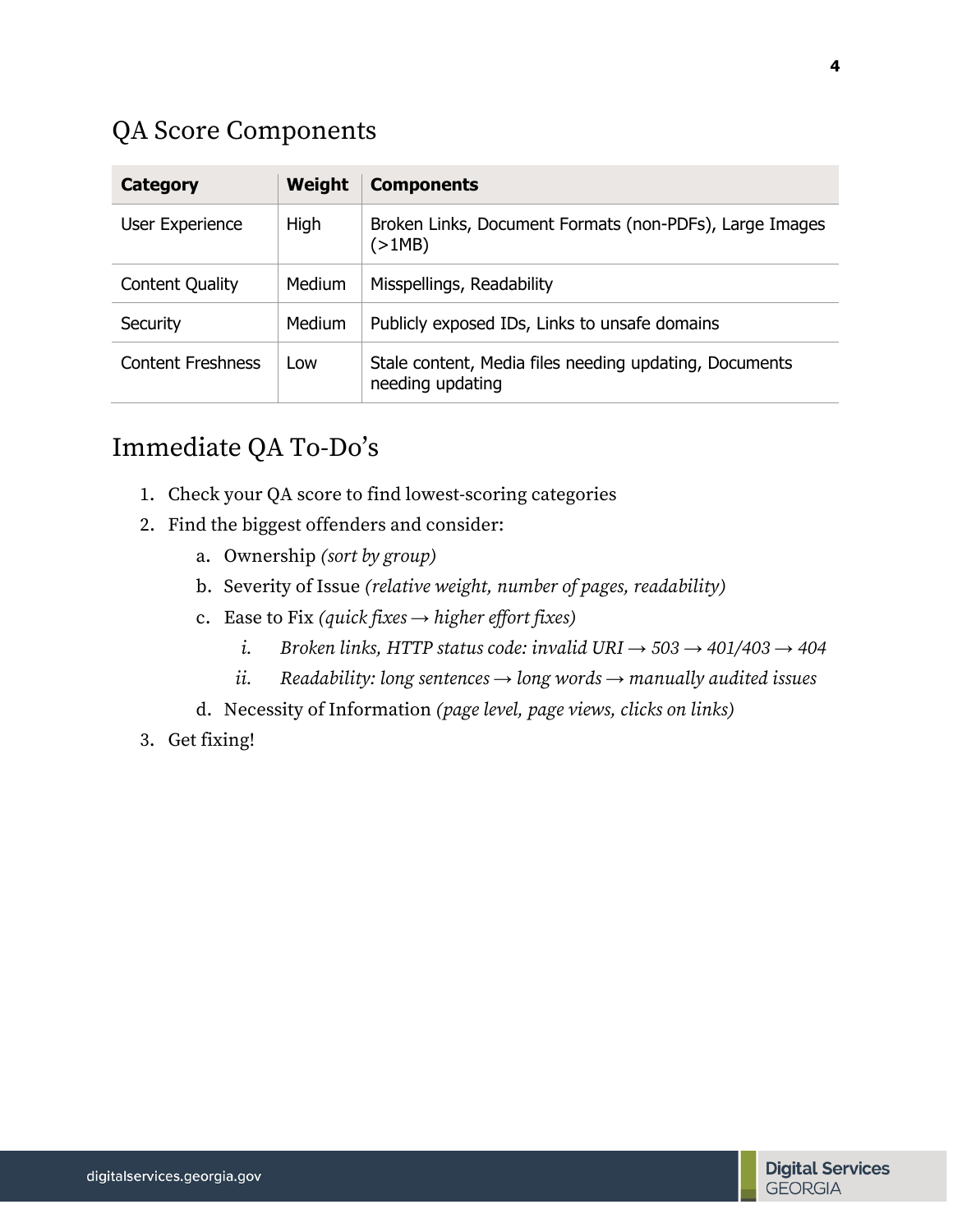#### QA Score Components

| Category                 | Weight | <b>Components</b>                                                          |
|--------------------------|--------|----------------------------------------------------------------------------|
| User Experience          | High   | Broken Links, Document Formats (non-PDFs), Large Images<br>(>1MB)          |
| <b>Content Quality</b>   | Medium | Misspellings, Readability                                                  |
| Security                 | Medium | Publicly exposed IDs, Links to unsafe domains                              |
| <b>Content Freshness</b> | Low    | Stale content, Media files needing updating, Documents<br>needing updating |

#### Immediate QA To-Do's

- 1. Check your QA score to find lowest-scoring categories
- 2. Find the biggest offenders and consider:
	- a. Ownership *(sort by group)*
	- b. Severity of Issue *(relative weight, number of pages, readability)*
	- c. Ease to Fix *(quick fixes* **→** *higher effort fixes)*
		- *i. Broken links, HTTP status code: invalid URI*  $\rightarrow$  503 $\rightarrow$  401/403 $\rightarrow$  404
		- *ii. Readability: long sentences* **→** *long words* **→** *manually audited issues*
	- d. Necessity of Information *(page level, page views, clicks on links)*
- 3. Get fixing!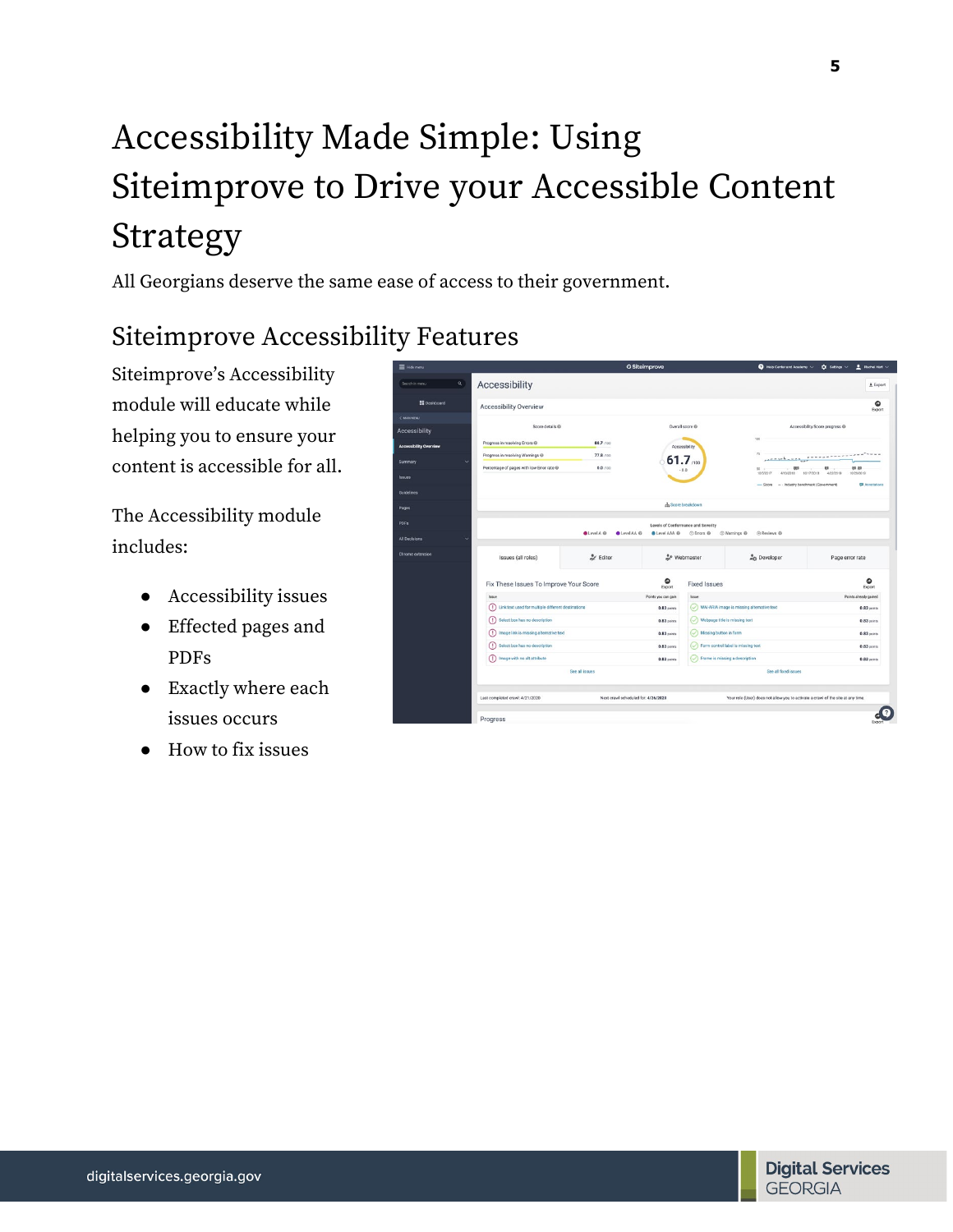# Accessibility Made Simple: Using Siteimprove to Drive your Accessible Content Strategy

All Georgians deserve the same ease of access to their government.

## Siteimprove Accessibility Features

Siteimprove's Accessibility module will educate while helping you to ensure your content is accessible for all.

The Accessibility module includes:

- Accessibility issues
- Effected pages and PDFs
- Exactly where each issues occurs
- How to fix issues

| E Hole menu                   |                                                                                       |                                     | <b>O</b> Siteimprove |                                        | $\bullet$ Help Center and Academy $\check{\,\,\,}$                               | Rachel Hart V<br>$\Omega$ Settings $\vee$            |
|-------------------------------|---------------------------------------------------------------------------------------|-------------------------------------|----------------------|----------------------------------------|----------------------------------------------------------------------------------|------------------------------------------------------|
| $\alpha$<br>Search in menu    | Accessibility                                                                         |                                     |                      |                                        |                                                                                  | $±$ Export                                           |
| <b>Eli</b> Dashboard          | <b>Accessibility Overview</b>                                                         |                                     |                      |                                        |                                                                                  | ۵<br>Export                                          |
| < MAIN MENU                   |                                                                                       |                                     |                      |                                        |                                                                                  |                                                      |
| <b>Accessibility</b>          | Score details @                                                                       |                                     |                      | Overall score @                        |                                                                                  | Accessibility Score progress @                       |
| <b>Accessibility Overview</b> | Progress in resolving Errors @                                                        | 88.7 /100                           |                      | Accessibility                          | 100                                                                              |                                                      |
| <b>Summary</b>                | Progress in resolving Warnings @                                                      | 77.8 /100                           |                      | 61.7                                   | 26<br>ويتقصد والمواصلين                                                          | $-7 - 7 - 7$                                         |
| <b>Issues</b>                 | Percentage of pages with low Error rate @                                             | 0.0 /100                            |                      | $-0.0$                                 | 493<br>50<br>10/5/2017<br>4/15/2018                                              | 03 03<br>03<br>10/17/2018<br>4/22/2019<br>10/26/2019 |
|                               |                                                                                       |                                     |                      |                                        | - Score - Industry benchmark (Government)                                        | <b>El</b> Annotations                                |
| Guidelines.                   |                                                                                       |                                     |                      | <b>ch</b> Score breakdown              |                                                                                  |                                                      |
| Pages                         |                                                                                       |                                     |                      |                                        |                                                                                  |                                                      |
| PDFs                          |                                                                                       |                                     |                      | Levels of Conformance and Severity     |                                                                                  |                                                      |
| All Decisions                 |                                                                                       | CLevel AA O<br><b>OLevel A</b> @    | <b>O</b> Level AAA @ | C Errors @                             | @ Warnings @<br>@ Reviews @                                                      |                                                      |
| Chrome extension              | Issues (all roles)                                                                    | e Editor                            |                      | & Webmaster                            | <b>O</b> Developer                                                               | Page error rate                                      |
|                               | Fix These Issues To Improve Your Score                                                |                                     | ۵<br>Export          | <b>Fixed Issues</b>                    |                                                                                  | ۵<br>Export                                          |
|                               | Issue                                                                                 |                                     | Points you can gain  | Issue                                  |                                                                                  | Points already gained                                |
|                               | Link text used for multiple different destinations<br>$\left( \left  \right  \right)$ |                                     | 0.83 points          |                                        | WAI-ARIA image is missing alternative text                                       | 0.83 points                                          |
|                               | Select box has no description<br>$\bigcirc$                                           |                                     | 0.83 coints          | (Vebpage title is missing text         |                                                                                  | $0.83$ points                                        |
|                               | Image link is missing alternative text                                                |                                     | $0.83$ coints        | (V) Missing button in form             |                                                                                  | $0.83$ points                                        |
|                               | Select box has no description                                                         |                                     | 0.83 points          | (V) Form control label is missing text |                                                                                  | 0.83 points                                          |
|                               | Image with no alt attribute                                                           |                                     | $0.83$ coints        | (V) Frame is missing a description     |                                                                                  | $0.83$ points                                        |
|                               |                                                                                       | See all issues                      |                      |                                        | See all fixed issues                                                             |                                                      |
|                               |                                                                                       |                                     |                      |                                        |                                                                                  |                                                      |
|                               | Last completed crawl: 4/21/2020                                                       | Next crawl scheduled for: 4/26/2020 |                      |                                        | Your role (User) does not allow you to activate a crawl of the site at any time. |                                                      |

**5**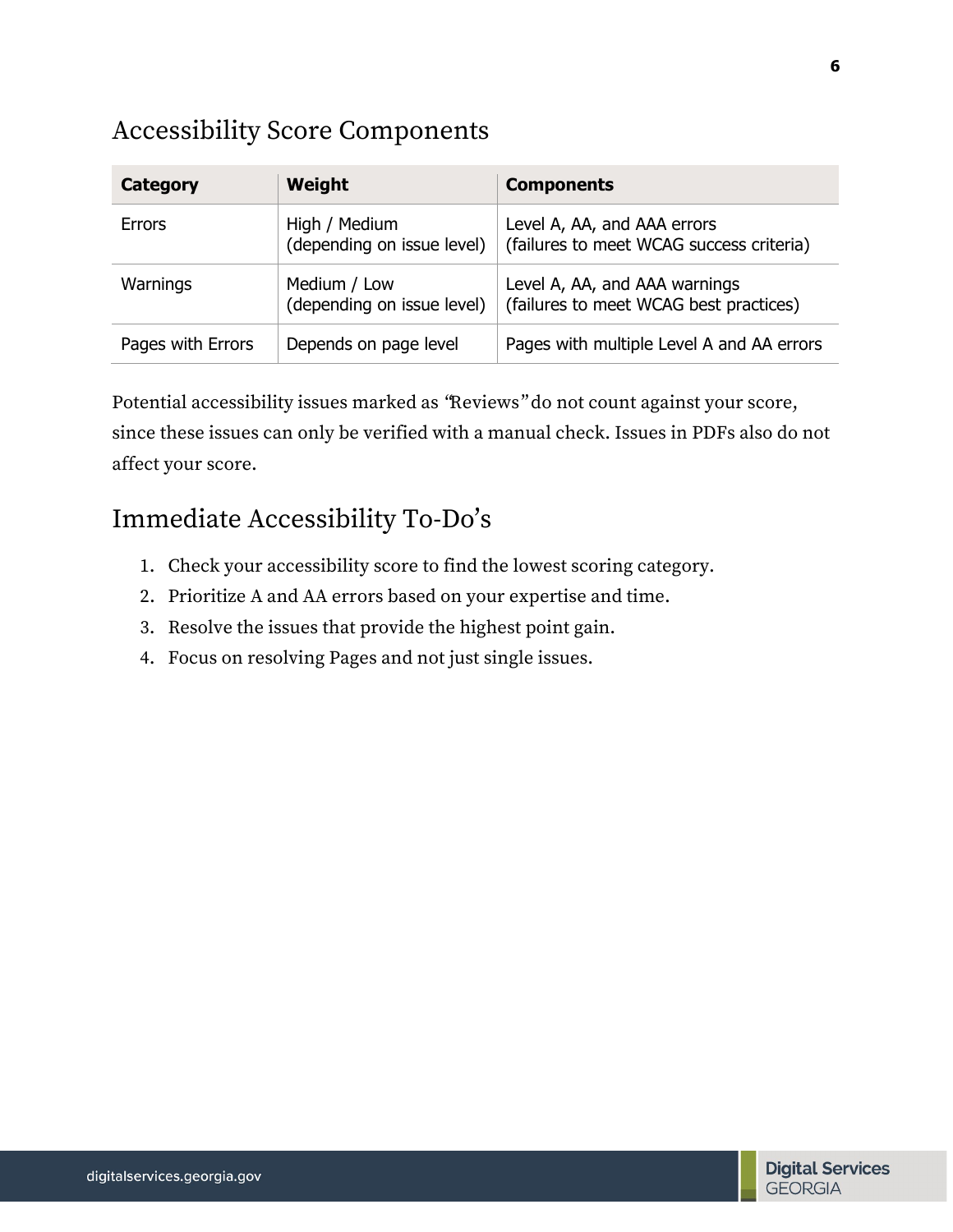#### Accessibility Score Components

| <b>Category</b>   | Weight                                      | <b>Components</b>                                                       |
|-------------------|---------------------------------------------|-------------------------------------------------------------------------|
| <b>Errors</b>     | High / Medium<br>(depending on issue level) | Level A, AA, and AAA errors<br>(failures to meet WCAG success criteria) |
| Warnings          | Medium / Low<br>(depending on issue level)  | Level A, AA, and AAA warnings<br>(failures to meet WCAG best practices) |
| Pages with Errors | Depends on page level                       | Pages with multiple Level A and AA errors                               |

Potential accessibility issues marked as "Reviews" do not count against your score, since these issues can only be verified with a manual check. Issues in PDFs also do not affect your score.

### Immediate Accessibility To-Do's

- 1. Check your accessibility score to find the lowest scoring category.
- 2. Prioritize A and AA errors based on your expertise and time.
- 3. Resolve the issues that provide the highest point gain.
- 4. Focus on resolving Pages and not just single issues.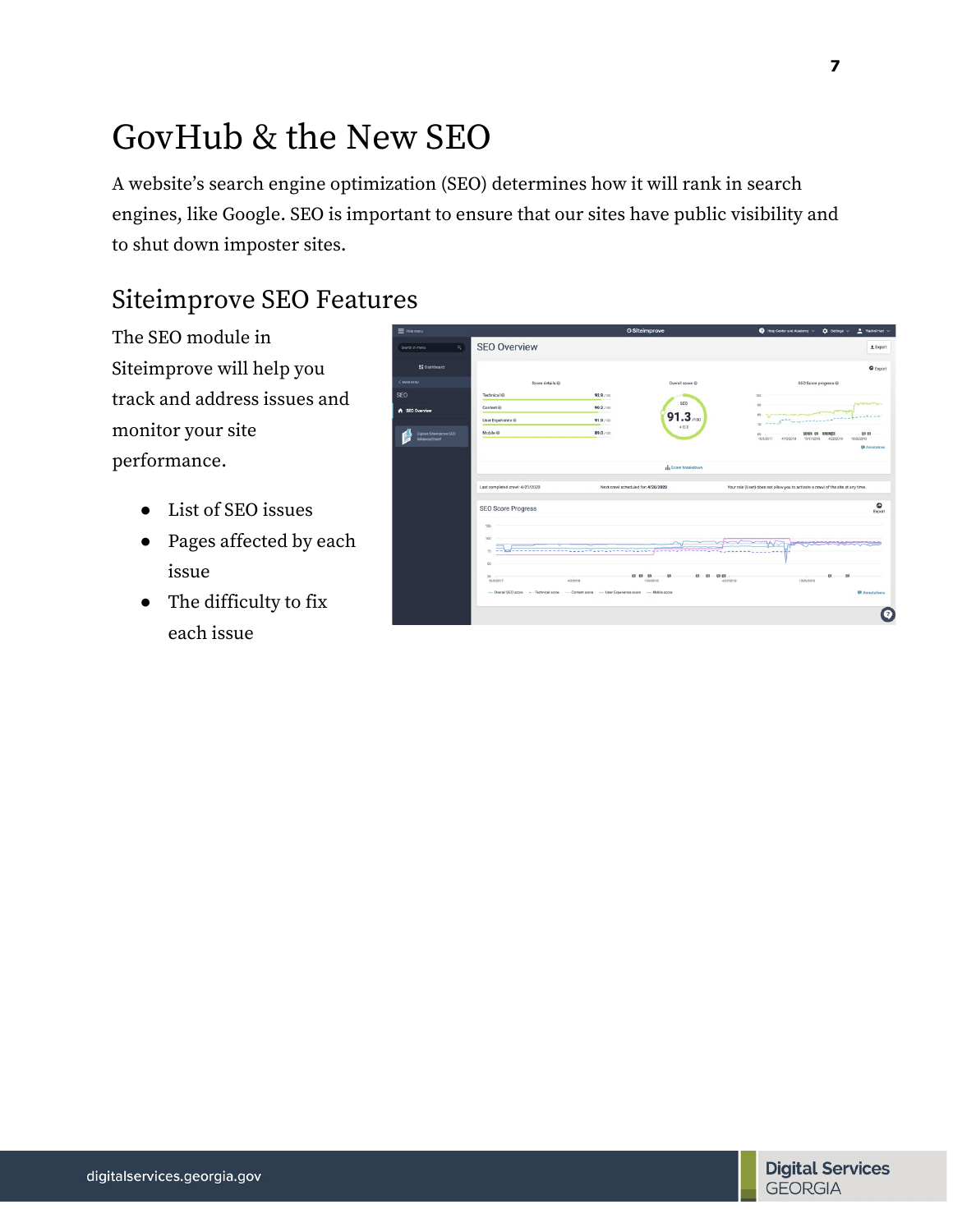# GovHub & the New SEO

A website's search engine optimization (SEO) determines how it will rank in search engines, like Google. SEO is important to ensure that our sites have public visibility and to shut down imposter sites.

### Siteimprove SEO Features

The SEO module in Siteimprove will help you track and address issues and monitor your site performance.

- List of SEO issues
- Pages affected by each issue
- The difficulty to fix each issue

| = Hide menu                                             |                                 | O Siteimprove                                                                                  | Help Center and Academy<br>$Ratchel$ Hart $\vee$<br>$\hat{\mathbf{n}}$ Settings $\vee$                     |
|---------------------------------------------------------|---------------------------------|------------------------------------------------------------------------------------------------|------------------------------------------------------------------------------------------------------------|
| $\alpha$<br>Search in menu                              | <b>SEO Overview</b>             |                                                                                                | $±$ Export                                                                                                 |
| <b>SE Dashboard</b>                                     |                                 |                                                                                                | C Export                                                                                                   |
| <b>C MAZE MENU</b>                                      | Score details @                 | Overall score @                                                                                | SEO Score progress @                                                                                       |
| SEO                                                     | Technical ®                     | 92.9 /100                                                                                      | 100                                                                                                        |
| <b>A</b> SEO Overview                                   | Content @                       | SEO<br>90.2 /100                                                                               | <b>STATISTICS</b><br>$^{50}$<br>80                                                                         |
|                                                         | User Experience ®               | $91.3 \, \mu m$<br>91.9 /100<br>$+0.3$                                                         |                                                                                                            |
| <b>Ciplore Siteimprove SEO</b><br><b>Advanced here!</b> | Mobile @                        | 89.0 /100                                                                                      | 03 03<br>00303.03<br>0.00000<br>$^{00}$<br>10/17/2018<br>10/26/2019<br>10/5/2017<br>4/15/2018<br>4/22/2019 |
|                                                         |                                 |                                                                                                | <b>Di</b> Annatations                                                                                      |
|                                                         |                                 | h Score breakdown                                                                              |                                                                                                            |
|                                                         | Last completed crawl: 4/21/2020 | Next crawl scheduled for: 4/26/2020                                                            | Your role (User) does not allow you to activate a crawl of the site at any time.                           |
|                                                         | <b>SEO Score Progress</b>       |                                                                                                | $\circ$<br>Export                                                                                          |
|                                                         | 125                             |                                                                                                |                                                                                                            |
|                                                         | 100                             |                                                                                                |                                                                                                            |
|                                                         | 75<br>-----------<br>$-$        | <b>.</b>                                                                                       |                                                                                                            |
|                                                         | $^{50}$                         |                                                                                                |                                                                                                            |
|                                                         | $25 -$<br>10/5/2017             | 01.03<br>$^{52}$<br>03<br>$-00$<br>4/2/2018<br>109/2018                                        | 四 (5)<br>$^{12}$<br>4/22/2019<br>10/23/2019                                                                |
|                                                         |                                 | - Overall SEO score - - Technical score - Content score - User Experience score - Mobile score | <b>E</b> Annotations                                                                                       |
|                                                         |                                 |                                                                                                |                                                                                                            |
|                                                         |                                 |                                                                                                |                                                                                                            |
|                                                         |                                 |                                                                                                |                                                                                                            |